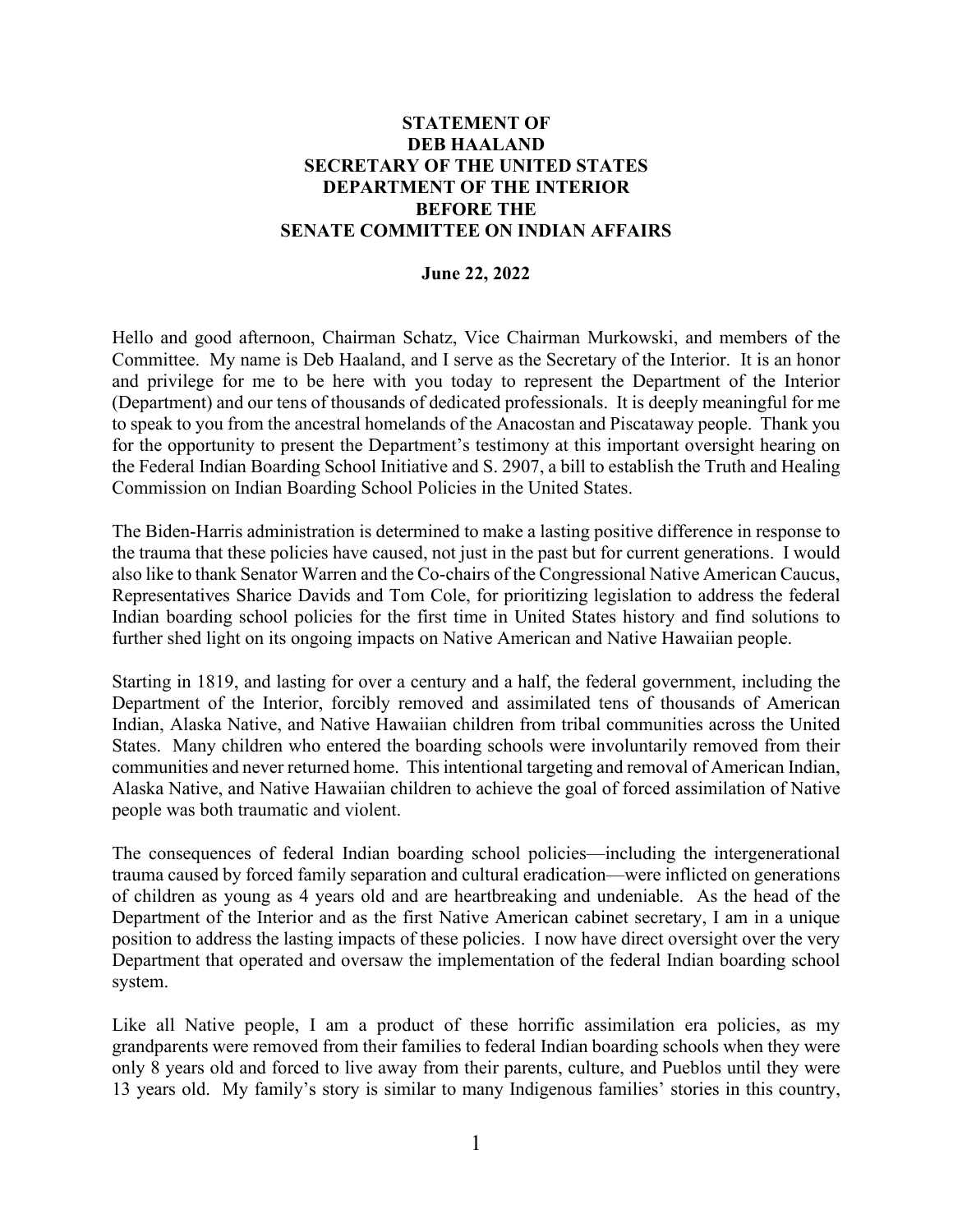## **STATEMENT OF DEB HAALAND SECRETARY OF THE UNITED STATES DEPARTMENT OF THE INTERIOR BEFORE THE SENATE COMMITTEE ON INDIAN AFFAIRS**

## **June 22, 2022**

Hello and good afternoon, Chairman Schatz, Vice Chairman Murkowski, and members of the Committee. My name is Deb Haaland, and I serve as the Secretary of the Interior. It is an honor and privilege for me to be here with you today to represent the Department of the Interior (Department) and our tens of thousands of dedicated professionals. It is deeply meaningful for me to speak to you from the ancestral homelands of the Anacostan and Piscataway people. Thank you for the opportunity to present the Department's testimony at this important oversight hearing on the Federal Indian Boarding School Initiative and S. 2907, a bill to establish the Truth and Healing Commission on Indian Boarding School Policies in the United States.

The Biden-Harris administration is determined to make a lasting positive difference in response to the trauma that these policies have caused, not just in the past but for current generations. I would also like to thank Senator Warren and the Co-chairs of the Congressional Native American Caucus, Representatives Sharice Davids and Tom Cole, for prioritizing legislation to address the federal Indian boarding school policies for the first time in United States history and find solutions to further shed light on its ongoing impacts on Native American and Native Hawaiian people.

Starting in 1819, and lasting for over a century and a half, the federal government, including the Department of the Interior, forcibly removed and assimilated tens of thousands of American Indian, Alaska Native, and Native Hawaiian children from tribal communities across the United States. Many children who entered the boarding schools were involuntarily removed from their communities and never returned home. This intentional targeting and removal of American Indian, Alaska Native, and Native Hawaiian children to achieve the goal of forced assimilation of Native people was both traumatic and violent.

The consequences of federal Indian boarding school policies—including the intergenerational trauma caused by forced family separation and cultural eradication—were inflicted on generations of children as young as 4 years old and are heartbreaking and undeniable. As the head of the Department of the Interior and as the first Native American cabinet secretary, I am in a unique position to address the lasting impacts of these policies. I now have direct oversight over the very Department that operated and oversaw the implementation of the federal Indian boarding school system.

Like all Native people, I am a product of these horrific assimilation era policies, as my grandparents were removed from their families to federal Indian boarding schools when they were only 8 years old and forced to live away from their parents, culture, and Pueblos until they were 13 years old. My family's story is similar to many Indigenous families' stories in this country,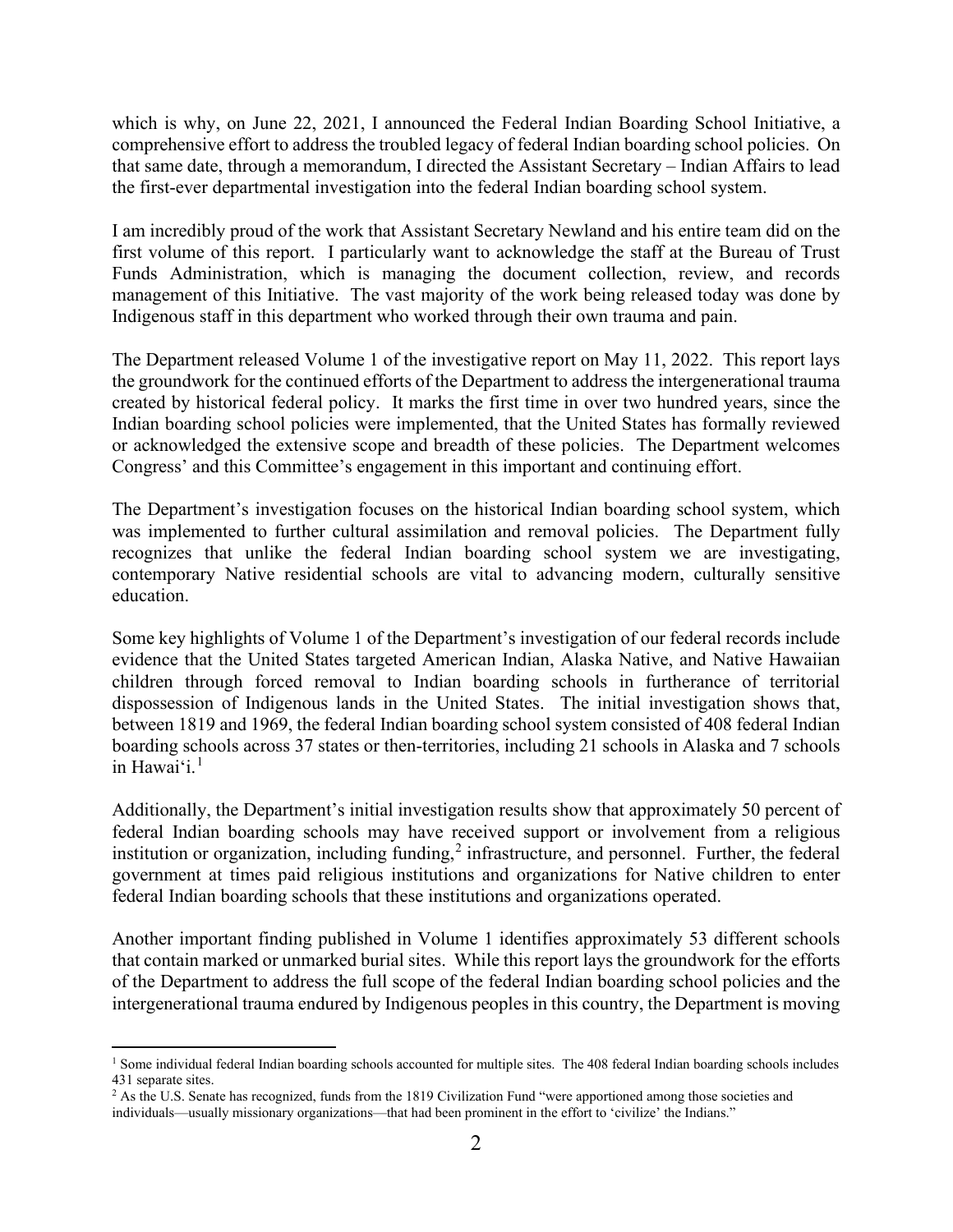which is why, on June 22, 2021, I announced the Federal Indian Boarding School Initiative, a comprehensive effort to address the troubled legacy of federal Indian boarding school policies. On that same date, through a memorandum, I directed the Assistant Secretary – Indian Affairs to lead the first-ever departmental investigation into the federal Indian boarding school system.

I am incredibly proud of the work that Assistant Secretary Newland and his entire team did on the first volume of this report. I particularly want to acknowledge the staff at the Bureau of Trust Funds Administration, which is managing the document collection, review, and records management of this Initiative. The vast majority of the work being released today was done by Indigenous staff in this department who worked through their own trauma and pain.

The Department released Volume 1 of the investigative report on May 11, 2022. This report lays the groundwork for the continued efforts of the Department to address the intergenerational trauma created by historical federal policy. It marks the first time in over two hundred years, since the Indian boarding school policies were implemented, that the United States has formally reviewed or acknowledged the extensive scope and breadth of these policies. The Department welcomes Congress' and this Committee's engagement in this important and continuing effort.

The Department's investigation focuses on the historical Indian boarding school system, which was implemented to further cultural assimilation and removal policies. The Department fully recognizes that unlike the federal Indian boarding school system we are investigating, contemporary Native residential schools are vital to advancing modern, culturally sensitive education.

Some key highlights of Volume 1 of the Department's investigation of our federal records include evidence that the United States targeted American Indian, Alaska Native, and Native Hawaiian children through forced removal to Indian boarding schools in furtherance of territorial dispossession of Indigenous lands in the United States. The initial investigation shows that, between 1819 and 1969, the federal Indian boarding school system consisted of 408 federal Indian boarding schools across 37 states or then-territories, including 21 schools in Alaska and 7 schools in Hawai'i. $<sup>1</sup>$  $<sup>1</sup>$  $<sup>1</sup>$ </sup>

Additionally, the Department's initial investigation results show that approximately 50 percent of federal Indian boarding schools may have received support or involvement from a religious institution or organization, including funding, $2$  infrastructure, and personnel. Further, the federal government at times paid religious institutions and organizations for Native children to enter federal Indian boarding schools that these institutions and organizations operated.

Another important finding published in Volume 1 identifies approximately 53 different schools that contain marked or unmarked burial sites. While this report lays the groundwork for the efforts of the Department to address the full scope of the federal Indian boarding school policies and the intergenerational trauma endured by Indigenous peoples in this country, the Department is moving

<span id="page-1-0"></span><sup>&</sup>lt;sup>1</sup> Some individual federal Indian boarding schools accounted for multiple sites. The 408 federal Indian boarding schools includes 431 separate sites.

<span id="page-1-1"></span><sup>&</sup>lt;sup>2</sup> As the U.S. Senate has recognized, funds from the 1819 Civilization Fund "were apportioned among those societies and individuals—usually missionary organizations—that had been prominent in the effort to 'civilize' the Indians."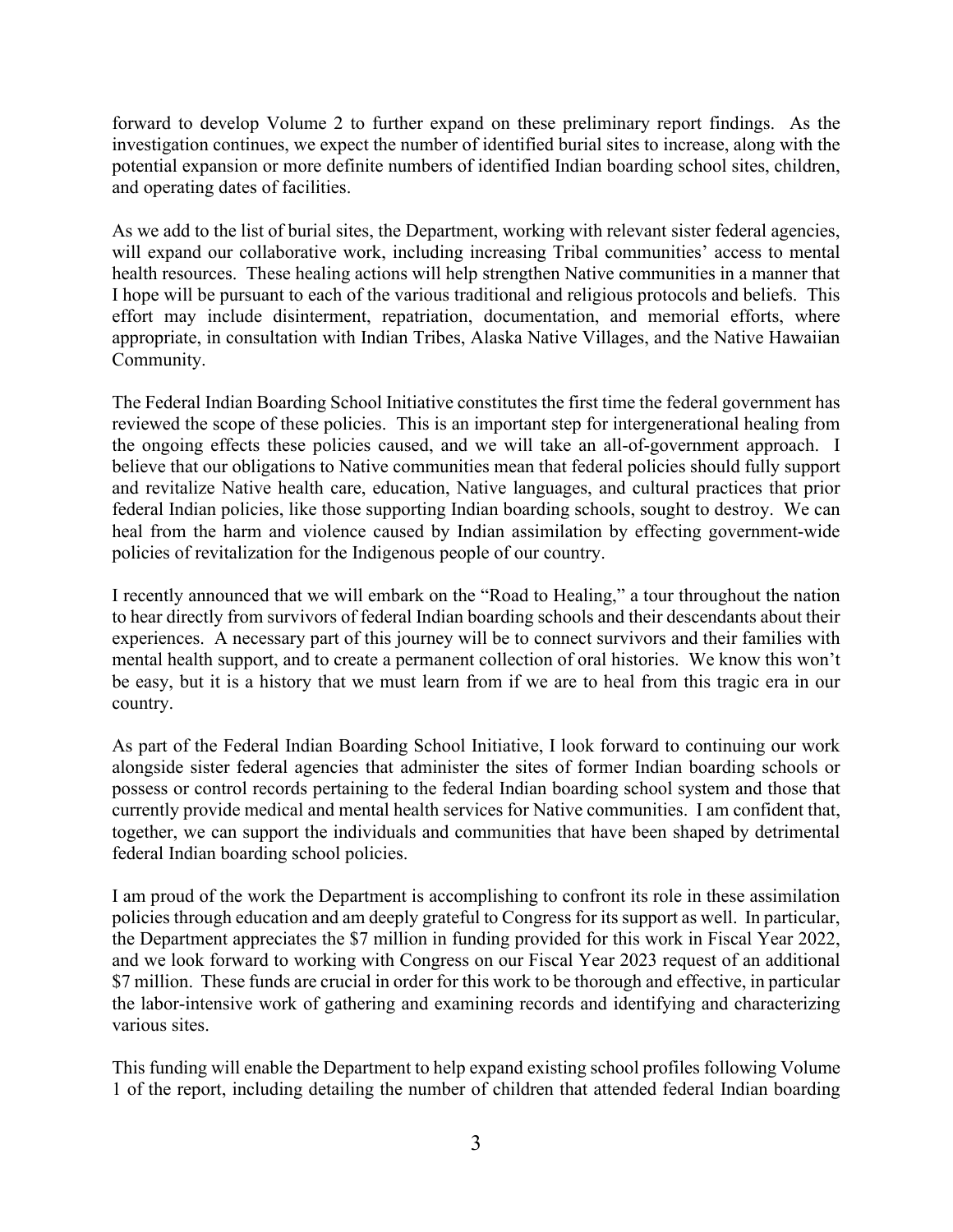forward to develop Volume 2 to further expand on these preliminary report findings. As the investigation continues, we expect the number of identified burial sites to increase, along with the potential expansion or more definite numbers of identified Indian boarding school sites, children, and operating dates of facilities.

As we add to the list of burial sites, the Department, working with relevant sister federal agencies, will expand our collaborative work, including increasing Tribal communities' access to mental health resources. These healing actions will help strengthen Native communities in a manner that I hope will be pursuant to each of the various traditional and religious protocols and beliefs. This effort may include disinterment, repatriation, documentation, and memorial efforts, where appropriate, in consultation with Indian Tribes, Alaska Native Villages, and the Native Hawaiian Community.

The Federal Indian Boarding School Initiative constitutes the first time the federal government has reviewed the scope of these policies. This is an important step for intergenerational healing from the ongoing effects these policies caused, and we will take an all-of-government approach. I believe that our obligations to Native communities mean that federal policies should fully support and revitalize Native health care, education, Native languages, and cultural practices that prior federal Indian policies, like those supporting Indian boarding schools, sought to destroy. We can heal from the harm and violence caused by Indian assimilation by effecting government-wide policies of revitalization for the Indigenous people of our country.

I recently announced that we will embark on the "Road to Healing," a tour throughout the nation to hear directly from survivors of federal Indian boarding schools and their descendants about their experiences. A necessary part of this journey will be to connect survivors and their families with mental health support, and to create a permanent collection of oral histories. We know this won't be easy, but it is a history that we must learn from if we are to heal from this tragic era in our country.

As part of the Federal Indian Boarding School Initiative, I look forward to continuing our work alongside sister federal agencies that administer the sites of former Indian boarding schools or possess or control records pertaining to the federal Indian boarding school system and those that currently provide medical and mental health services for Native communities. I am confident that, together, we can support the individuals and communities that have been shaped by detrimental federal Indian boarding school policies.

I am proud of the work the Department is accomplishing to confront its role in these assimilation policies through education and am deeply grateful to Congress for its support as well. In particular, the Department appreciates the \$7 million in funding provided for this work in Fiscal Year 2022, and we look forward to working with Congress on our Fiscal Year 2023 request of an additional \$7 million. These funds are crucial in order for this work to be thorough and effective, in particular the labor-intensive work of gathering and examining records and identifying and characterizing various sites.

This funding will enable the Department to help expand existing school profiles following Volume 1 of the report, including detailing the number of children that attended federal Indian boarding